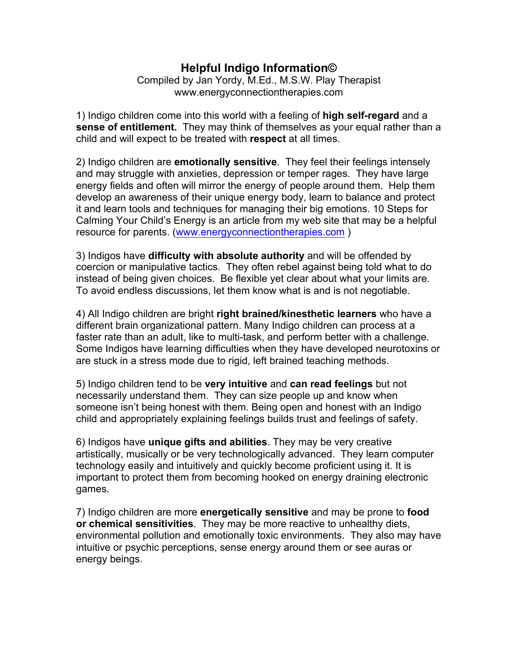## **Helpful Indigo Information©**

Compiled by Jan Yordy, M.Ed., M.S.W. Play Therapist www.energyconnectiontherapies.com

1) Indigo children come into this world with a feeling of **high self-regard** and a **sense of entitlement.** They may think of themselves as your equal rather than a child and will expect to be treated with **respect** at all times.

2) Indigo children are **emotionally sensitive**. They feel their feelings intensely and may struggle with anxieties, depression or temper rages. They have large energy fields and often will mirror the energy of people around them. Help them develop an awareness of their unique energy body, learn to balance and protect it and learn tools and techniques for managing their big emotions. 10 Steps for Calming Your Child's Energy is an article from my web site that may be a helpful resource for parents. (www.energyconnectiontherapies.com)

3) Indigos have **difficulty with absolute authority** and will be offended by coercion or manipulative tactics. They often rebel against being told what to do instead of being given choices. Be flexible yet clear about what your limits are. To avoid endless discussions, let them know what is and is not negotiable.

4) All Indigo children are bright **right brained/kinesthetic learners** who have a different brain organizational pattern. Many Indigo children can process at a faster rate than an adult, like to multi-task, and perform better with a challenge. Some Indigos have learning difficulties when they have developed neurotoxins or are stuck in a stress mode due to rigid, left brained teaching methods.

5) Indigo children tend to be **very intuitive** and **can read feelings** but not necessarily understand them. They can size people up and know when someone isn't being honest with them. Being open and honest with an Indigo child and appropriately explaining feelings builds trust and feelings of safety.

6) Indigos have **unique gifts and abilities**. They may be very creative artistically, musically or be very technologically advanced. They learn computer technology easily and intuitively and quickly become proficient using it. It is important to protect them from becoming hooked on energy draining electronic games.

7) Indigo children are more **energetically sensitive** and may be prone to **food or chemical sensitivities**. They may be more reactive to unhealthy diets, environmental pollution and emotionally toxic environments. They also may have intuitive or psychic perceptions, sense energy around them or see auras or energy beings.